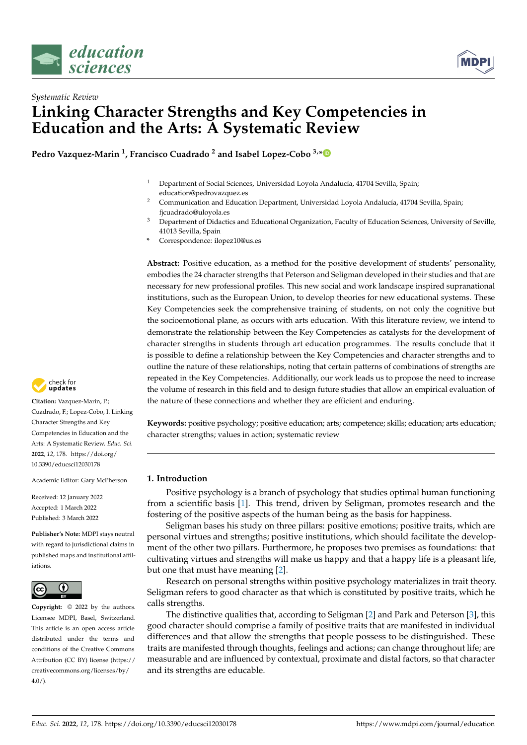



# *Systematic Review* **Linking Character Strengths and Key Competencies in Education and the Arts: A Systematic Review**

**Pedro Vazquez-Marin <sup>1</sup> , Francisco Cuadrado <sup>2</sup> and Isabel Lopez-Cobo 3,[\\*](https://orcid.org/0000-0003-3579-0877)**

- <sup>1</sup> Department of Social Sciences, Universidad Loyola Andalucía, 41704 Sevilla, Spain; education@pedrovazquez.es
- <sup>2</sup> Communication and Education Department, Universidad Loyola Andalucía, 41704 Sevilla, Spain; fjcuadrado@uloyola.es
- <sup>3</sup> Department of Didactics and Educational Organization, Faculty of Education Sciences, University of Seville, 41013 Sevilla, Spain
- **\*** Correspondence: ilopez10@us.es

**Abstract:** Positive education, as a method for the positive development of students' personality, embodies the 24 character strengths that Peterson and Seligman developed in their studies and that are necessary for new professional profiles. This new social and work landscape inspired supranational institutions, such as the European Union, to develop theories for new educational systems. These Key Competencies seek the comprehensive training of students, on not only the cognitive but the socioemotional plane, as occurs with arts education. With this literature review, we intend to demonstrate the relationship between the Key Competencies as catalysts for the development of character strengths in students through art education programmes. The results conclude that it is possible to define a relationship between the Key Competencies and character strengths and to outline the nature of these relationships, noting that certain patterns of combinations of strengths are repeated in the Key Competencies. Additionally, our work leads us to propose the need to increase the volume of research in this field and to design future studies that allow an empirical evaluation of the nature of these connections and whether they are efficient and enduring.

**Keywords:** positive psychology; positive education; arts; competence; skills; education; arts education; character strengths; values in action; systematic review

# **1. Introduction**

Positive psychology is a branch of psychology that studies optimal human functioning from a scientific basis [\[1\]](#page-16-0). This trend, driven by Seligman, promotes research and the fostering of the positive aspects of the human being as the basis for happiness.

Seligman bases his study on three pillars: positive emotions; positive traits, which are personal virtues and strengths; positive institutions, which should facilitate the development of the other two pillars. Furthermore, he proposes two premises as foundations: that cultivating virtues and strengths will make us happy and that a happy life is a pleasant life, but one that must have meaning [\[2\]](#page-16-1).

Research on personal strengths within positive psychology materializes in trait theory. Seligman refers to good character as that which is constituted by positive traits, which he calls strengths.

The distinctive qualities that, according to Seligman [\[2\]](#page-16-1) and Park and Peterson [\[3\]](#page-16-2), this good character should comprise a family of positive traits that are manifested in individual differences and that allow the strengths that people possess to be distinguished. These traits are manifested through thoughts, feelings and actions; can change throughout life; are measurable and are influenced by contextual, proximate and distal factors, so that character and its strengths are educable.



**Citation:** Vazquez-Marin, P.; Cuadrado, F.; Lopez-Cobo, I. Linking Character Strengths and Key Competencies in Education and the Arts: A Systematic Review. *Educ. Sci.* **2022**, *12*, 178. [https://doi.org/](https://doi.org/10.3390/educsci12030178) [10.3390/educsci12030178](https://doi.org/10.3390/educsci12030178)

Academic Editor: Gary McPherson

Received: 12 January 2022 Accepted: 1 March 2022 Published: 3 March 2022

**Publisher's Note:** MDPI stays neutral with regard to jurisdictional claims in published maps and institutional affiliations.



**Copyright:** © 2022 by the authors. Licensee MDPI, Basel, Switzerland. This article is an open access article distributed under the terms and conditions of the Creative Commons Attribution (CC BY) license [\(https://](https://creativecommons.org/licenses/by/4.0/) [creativecommons.org/licenses/by/](https://creativecommons.org/licenses/by/4.0/)  $4.0/$ ).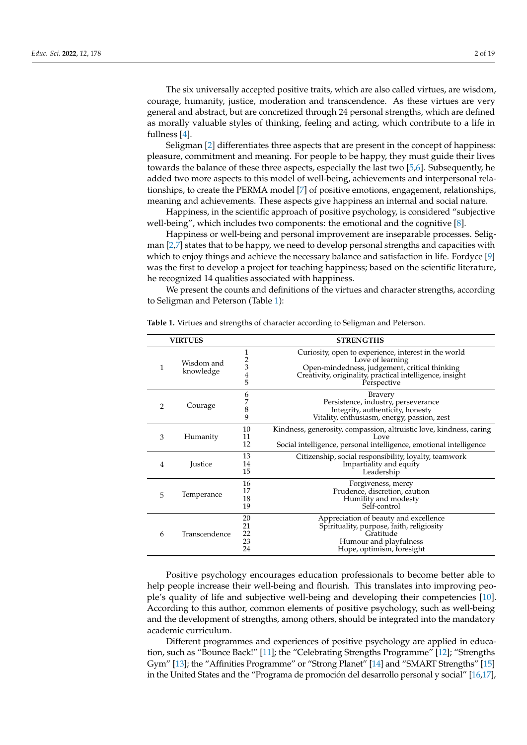The six universally accepted positive traits, which are also called virtues, are wisdom, courage, humanity, justice, moderation and transcendence. As these virtues are very general and abstract, but are concretized through 24 personal strengths, which are defined as morally valuable styles of thinking, feeling and acting, which contribute to a life in fullness [\[4\]](#page-16-3).

Seligman [\[2\]](#page-16-1) differentiates three aspects that are present in the concept of happiness: pleasure, commitment and meaning. For people to be happy, they must guide their lives towards the balance of these three aspects, especially the last two [\[5,](#page-16-4)[6\]](#page-16-5). Subsequently, he added two more aspects to this model of well-being, achievements and interpersonal relationships, to create the PERMA model [\[7\]](#page-16-6) of positive emotions, engagement, relationships, meaning and achievements. These aspects give happiness an internal and social nature.

Happiness, in the scientific approach of positive psychology, is considered "subjective well-being", which includes two components: the emotional and the cognitive [\[8\]](#page-16-7).

Happiness or well-being and personal improvement are inseparable processes. Seligman [\[2](#page-16-1)[,7\]](#page-16-6) states that to be happy, we need to develop personal strengths and capacities with which to enjoy things and achieve the necessary balance and satisfaction in life. Fordyce [\[9\]](#page-16-8) was the first to develop a project for teaching happiness; based on the scientific literature, he recognized 14 qualities associated with happiness.

We present the counts and definitions of the virtues and character strengths, according to Seligman and Peterson (Table [1\)](#page-1-0):

| <b>VIRTUES</b> |                         |                                     | <b>STRENGTHS</b>                                                                                                                                                                                     |
|----------------|-------------------------|-------------------------------------|------------------------------------------------------------------------------------------------------------------------------------------------------------------------------------------------------|
| $\mathbf{1}$   | Wisdom and<br>knowledge | 1<br>$\frac{2}{3}$<br>$\frac{4}{5}$ | Curiosity, open to experience, interest in the world<br>Love of learning<br>Open-mindedness, judgement, critical thinking<br>Creativity, originality, practical intelligence, insight<br>Perspective |
| $\overline{2}$ | Courage                 | 6<br>7<br>8<br>9                    | <b>Bravery</b><br>Persistence, industry, perseverance<br>Integrity, authenticity, honesty<br>Vitality, enthusiasm, energy, passion, zest                                                             |
| 3              | Humanity                | 10<br>11<br>12                      | Kindness, generosity, compassion, altruistic love, kindness, caring<br>Love<br>Social intelligence, personal intelligence, emotional intelligence                                                    |
| 4              | Justice                 | 13<br>14<br>15                      | Citizenship, social responsibility, loyalty, teamwork<br>Impartiality and equity<br>Leadership                                                                                                       |
| 5              | Temperance              | 16<br>17<br>18<br>19                | Forgiveness, mercy<br>Prudence, discretion, caution<br>Humility and modesty<br>Self-control                                                                                                          |
| 6              | Transcendence           | 20<br>21<br>22<br>23<br>24          | Appreciation of beauty and excellence<br>Spirituality, purpose, faith, religiosity<br>Gratitude<br>Humour and playfulness<br>Hope, optimism, foresight                                               |

<span id="page-1-0"></span>**Table 1.** Virtues and strengths of character according to Seligman and Peterson.

Positive psychology encourages education professionals to become better able to help people increase their well-being and flourish. This translates into improving people's quality of life and subjective well-being and developing their competencies [\[10\]](#page-16-9). According to this author, common elements of positive psychology, such as well-being and the development of strengths, among others, should be integrated into the mandatory academic curriculum.

Different programmes and experiences of positive psychology are applied in education, such as "Bounce Back!" [\[11\]](#page-16-10); the "Celebrating Strengths Programme" [\[12\]](#page-16-11); "Strengths Gym" [\[13\]](#page-16-12); the "Affinities Programme" or "Strong Planet" [\[14\]](#page-16-13) and "SMART Strengths" [\[15\]](#page-16-14) in the United States and the "Programa de promoción del desarrollo personal y social" [\[16](#page-17-0)[,17\]](#page-17-1),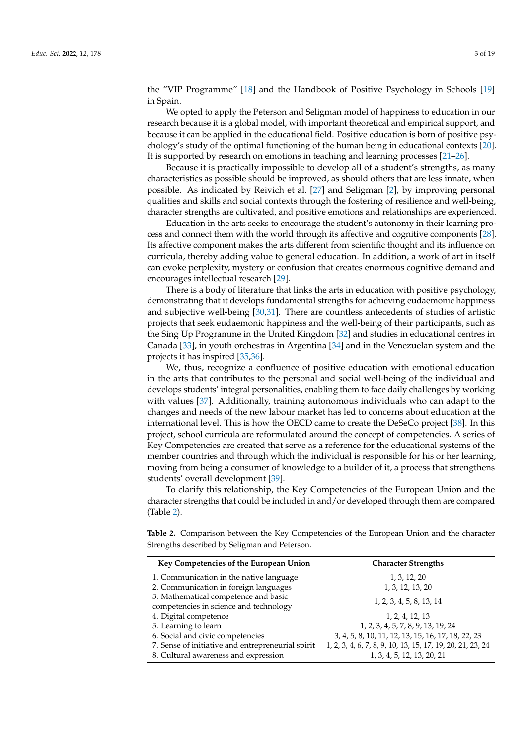the "VIP Programme" [\[18\]](#page-17-2) and the Handbook of Positive Psychology in Schools [\[19\]](#page-17-3) in Spain.

We opted to apply the Peterson and Seligman model of happiness to education in our research because it is a global model, with important theoretical and empirical support, and because it can be applied in the educational field. Positive education is born of positive psychology's study of the optimal functioning of the human being in educational contexts [\[20\]](#page-17-4). It is supported by research on emotions in teaching and learning processes [\[21–](#page-17-5)[26\]](#page-17-6).

Because it is practically impossible to develop all of a student's strengths, as many characteristics as possible should be improved, as should others that are less innate, when possible. As indicated by Reivich et al. [\[27\]](#page-17-7) and Seligman [\[2\]](#page-16-1), by improving personal qualities and skills and social contexts through the fostering of resilience and well-being, character strengths are cultivated, and positive emotions and relationships are experienced.

Education in the arts seeks to encourage the student's autonomy in their learning process and connect them with the world through its affective and cognitive components [\[28\]](#page-17-8). Its affective component makes the arts different from scientific thought and its influence on curricula, thereby adding value to general education. In addition, a work of art in itself can evoke perplexity, mystery or confusion that creates enormous cognitive demand and encourages intellectual research [\[29\]](#page-17-9).

There is a body of literature that links the arts in education with positive psychology, demonstrating that it develops fundamental strengths for achieving eudaemonic happiness and subjective well-being [\[30](#page-17-10)[,31\]](#page-17-11). There are countless antecedents of studies of artistic projects that seek eudaemonic happiness and the well-being of their participants, such as the Sing Up Programme in the United Kingdom [\[32\]](#page-17-12) and studies in educational centres in Canada [\[33\]](#page-17-13), in youth orchestras in Argentina [\[34\]](#page-17-14) and in the Venezuelan system and the projects it has inspired [\[35,](#page-17-15)[36\]](#page-17-16).

We, thus, recognize a confluence of positive education with emotional education in the arts that contributes to the personal and social well-being of the individual and develops students' integral personalities, enabling them to face daily challenges by working with values [\[37\]](#page-17-17). Additionally, training autonomous individuals who can adapt to the changes and needs of the new labour market has led to concerns about education at the international level. This is how the OECD came to create the DeSeCo project [\[38\]](#page-17-18). In this project, school curricula are reformulated around the concept of competencies. A series of Key Competencies are created that serve as a reference for the educational systems of the member countries and through which the individual is responsible for his or her learning, moving from being a consumer of knowledge to a builder of it, a process that strengthens students' overall development [\[39\]](#page-17-19).

To clarify this relationship, the Key Competencies of the European Union and the character strengths that could be included in and/or developed through them are compared (Table [2\)](#page-2-0).

<span id="page-2-0"></span>**Table 2.** Comparison between the Key Competencies of the European Union and the character Strengths described by Seligman and Peterson.

| Key Competencies of the European Union                                         | <b>Character Strengths</b>                                 |
|--------------------------------------------------------------------------------|------------------------------------------------------------|
| 1. Communication in the native language                                        | 1, 3, 12, 20                                               |
| 2. Communication in foreign languages                                          | 1, 3, 12, 13, 20                                           |
| 3. Mathematical competence and basic<br>competencies in science and technology | 1, 2, 3, 4, 5, 8, 13, 14                                   |
| 4. Digital competence                                                          | 1, 2, 4, 12, 13                                            |
| 5. Learning to learn                                                           | 1, 2, 3, 4, 5, 7, 8, 9, 13, 19, 24                         |
| 6. Social and civic competencies                                               | 3, 4, 5, 8, 10, 11, 12, 13, 15, 16, 17, 18, 22, 23         |
| 7. Sense of initiative and entrepreneurial spirit                              | 1, 2, 3, 4, 6, 7, 8, 9, 10, 13, 15, 17, 19, 20, 21, 23, 24 |
| 8. Cultural awareness and expression                                           | 1, 3, 4, 5, 12, 13, 20, 21                                 |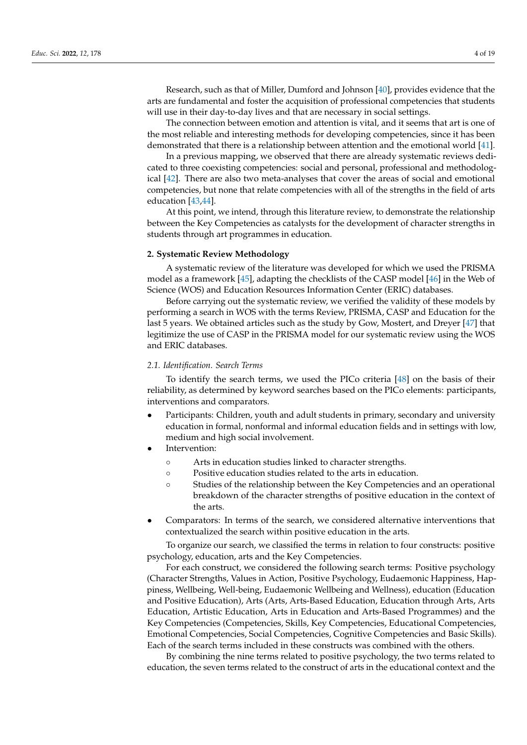Research, such as that of Miller, Dumford and Johnson [\[40\]](#page-17-20), provides evidence that the arts are fundamental and foster the acquisition of professional competencies that students will use in their day-to-day lives and that are necessary in social settings.

The connection between emotion and attention is vital, and it seems that art is one of the most reliable and interesting methods for developing competencies, since it has been demonstrated that there is a relationship between attention and the emotional world [\[41\]](#page-17-21).

In a previous mapping, we observed that there are already systematic reviews dedicated to three coexisting competencies: social and personal, professional and methodological [\[42\]](#page-17-22). There are also two meta-analyses that cover the areas of social and emotional competencies, but none that relate competencies with all of the strengths in the field of arts education [\[43,](#page-17-23)[44\]](#page-18-0).

At this point, we intend, through this literature review, to demonstrate the relationship between the Key Competencies as catalysts for the development of character strengths in students through art programmes in education.

# **2. Systematic Review Methodology**

A systematic review of the literature was developed for which we used the PRISMA model as a framework [\[45\]](#page-18-1), adapting the checklists of the CASP model [\[46\]](#page-18-2) in the Web of Science (WOS) and Education Resources Information Center (ERIC) databases.

Before carrying out the systematic review, we verified the validity of these models by performing a search in WOS with the terms Review, PRISMA, CASP and Education for the last 5 years. We obtained articles such as the study by Gow, Mostert, and Dreyer [\[47\]](#page-18-3) that legitimize the use of CASP in the PRISMA model for our systematic review using the WOS and ERIC databases.

# *2.1. Identification. Search Terms*

To identify the search terms, we used the PICo criteria [\[48\]](#page-18-4) on the basis of their reliability, as determined by keyword searches based on the PICo elements: participants, interventions and comparators.

- Participants: Children, youth and adult students in primary, secondary and university education in formal, nonformal and informal education fields and in settings with low, medium and high social involvement.
- Intervention:
	- Arts in education studies linked to character strengths.
	- Positive education studies related to the arts in education.
	- Studies of the relationship between the Key Competencies and an operational breakdown of the character strengths of positive education in the context of the arts.
- Comparators: In terms of the search, we considered alternative interventions that contextualized the search within positive education in the arts.

To organize our search, we classified the terms in relation to four constructs: positive psychology, education, arts and the Key Competencies.

For each construct, we considered the following search terms: Positive psychology (Character Strengths, Values in Action, Positive Psychology, Eudaemonic Happiness, Happiness, Wellbeing, Well-being, Eudaemonic Wellbeing and Wellness), education (Education and Positive Education), Arts (Arts, Arts-Based Education, Education through Arts, Arts Education, Artistic Education, Arts in Education and Arts-Based Programmes) and the Key Competencies (Competencies, Skills, Key Competencies, Educational Competencies, Emotional Competencies, Social Competencies, Cognitive Competencies and Basic Skills). Each of the search terms included in these constructs was combined with the others.

By combining the nine terms related to positive psychology, the two terms related to education, the seven terms related to the construct of arts in the educational context and the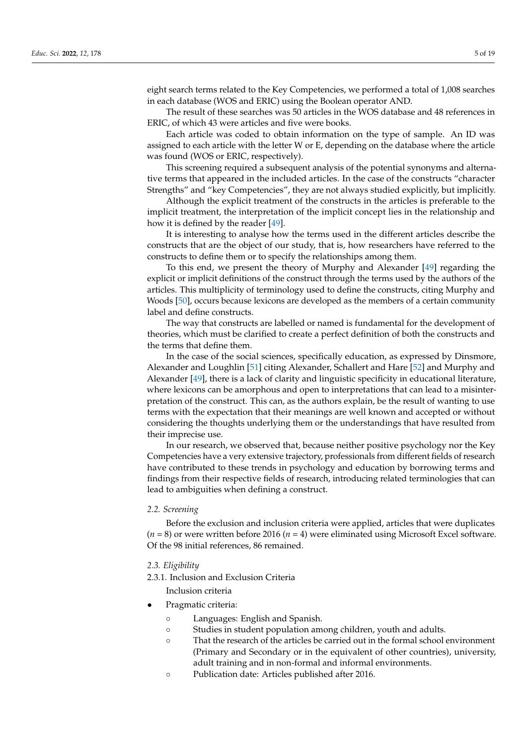eight search terms related to the Key Competencies, we performed a total of 1,008 searches in each database (WOS and ERIC) using the Boolean operator AND.

The result of these searches was 50 articles in the WOS database and 48 references in ERIC, of which 43 were articles and five were books.

Each article was coded to obtain information on the type of sample. An ID was assigned to each article with the letter W or E, depending on the database where the article was found (WOS or ERIC, respectively).

This screening required a subsequent analysis of the potential synonyms and alternative terms that appeared in the included articles. In the case of the constructs "character Strengths" and "key Competencies", they are not always studied explicitly, but implicitly.

Although the explicit treatment of the constructs in the articles is preferable to the implicit treatment, the interpretation of the implicit concept lies in the relationship and how it is defined by the reader [\[49\]](#page-18-5).

It is interesting to analyse how the terms used in the different articles describe the constructs that are the object of our study, that is, how researchers have referred to the constructs to define them or to specify the relationships among them.

To this end, we present the theory of Murphy and Alexander [\[49\]](#page-18-5) regarding the explicit or implicit definitions of the construct through the terms used by the authors of the articles. This multiplicity of terminology used to define the constructs, citing Murphy and Woods [\[50\]](#page-18-6), occurs because lexicons are developed as the members of a certain community label and define constructs.

The way that constructs are labelled or named is fundamental for the development of theories, which must be clarified to create a perfect definition of both the constructs and the terms that define them.

In the case of the social sciences, specifically education, as expressed by Dinsmore, Alexander and Loughlin [\[51\]](#page-18-7) citing Alexander, Schallert and Hare [\[52\]](#page-18-8) and Murphy and Alexander [\[49\]](#page-18-5), there is a lack of clarity and linguistic specificity in educational literature, where lexicons can be amorphous and open to interpretations that can lead to a misinterpretation of the construct. This can, as the authors explain, be the result of wanting to use terms with the expectation that their meanings are well known and accepted or without considering the thoughts underlying them or the understandings that have resulted from their imprecise use.

In our research, we observed that, because neither positive psychology nor the Key Competencies have a very extensive trajectory, professionals from different fields of research have contributed to these trends in psychology and education by borrowing terms and findings from their respective fields of research, introducing related terminologies that can lead to ambiguities when defining a construct.

# *2.2. Screening*

Before the exclusion and inclusion criteria were applied, articles that were duplicates (*n* = 8) or were written before 2016 (*n* = 4) were eliminated using Microsoft Excel software. Of the 98 initial references, 86 remained.

# *2.3. Eligibility*

2.3.1. Inclusion and Exclusion Criteria

Inclusion criteria

- Pragmatic criteria:
	- Languages: English and Spanish.
	- Studies in student population among children, youth and adults.
	- That the research of the articles be carried out in the formal school environment (Primary and Secondary or in the equivalent of other countries), university, adult training and in non-formal and informal environments.
	- Publication date: Articles published after 2016.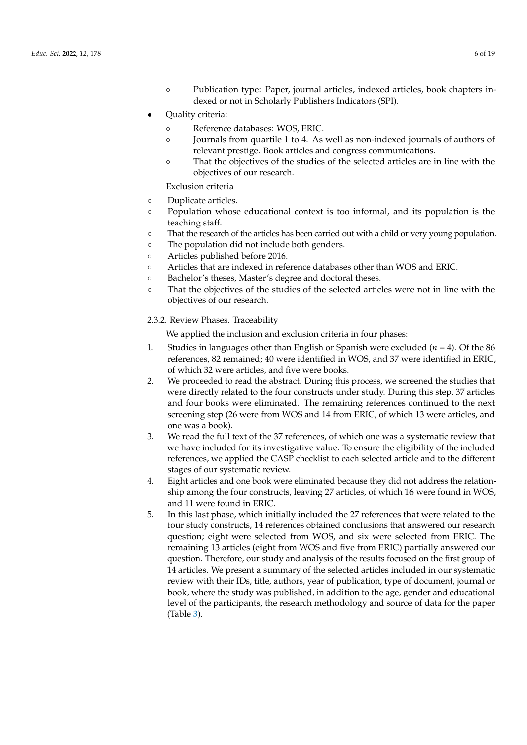- Publication type: Paper, journal articles, indexed articles, book chapters indexed or not in Scholarly Publishers Indicators (SPI).
- Quality criteria:
	- Reference databases: WOS, ERIC.
	- Journals from quartile 1 to 4. As well as non-indexed journals of authors of relevant prestige. Book articles and congress communications.
	- That the objectives of the studies of the selected articles are in line with the objectives of our research.

Exclusion criteria

- Duplicate articles.
- Population whose educational context is too informal, and its population is the teaching staff.
- That the research of the articles has been carried out with a child or very young population.
- The population did not include both genders.
- Articles published before 2016.
- Articles that are indexed in reference databases other than WOS and ERIC.
- Bachelor's theses, Master's degree and doctoral theses.
- That the objectives of the studies of the selected articles were not in line with the objectives of our research.

# 2.3.2. Review Phases. Traceability

We applied the inclusion and exclusion criteria in four phases:

- 1. Studies in languages other than English or Spanish were excluded  $(n = 4)$ . Of the 86 references, 82 remained; 40 were identified in WOS, and 37 were identified in ERIC, of which 32 were articles, and five were books.
- 2. We proceeded to read the abstract. During this process, we screened the studies that were directly related to the four constructs under study. During this step, 37 articles and four books were eliminated. The remaining references continued to the next screening step (26 were from WOS and 14 from ERIC, of which 13 were articles, and one was a book).
- 3. We read the full text of the 37 references, of which one was a systematic review that we have included for its investigative value. To ensure the eligibility of the included references, we applied the CASP checklist to each selected article and to the different stages of our systematic review.
- 4. Eight articles and one book were eliminated because they did not address the relationship among the four constructs, leaving 27 articles, of which 16 were found in WOS, and 11 were found in ERIC.
- 5. In this last phase, which initially included the 27 references that were related to the four study constructs, 14 references obtained conclusions that answered our research question; eight were selected from WOS, and six were selected from ERIC. The remaining 13 articles (eight from WOS and five from ERIC) partially answered our question. Therefore, our study and analysis of the results focused on the first group of 14 articles. We present a summary of the selected articles included in our systematic review with their IDs, title, authors, year of publication, type of document, journal or book, where the study was published, in addition to the age, gender and educational level of the participants, the research methodology and source of data for the paper (Table [3\)](#page-7-0).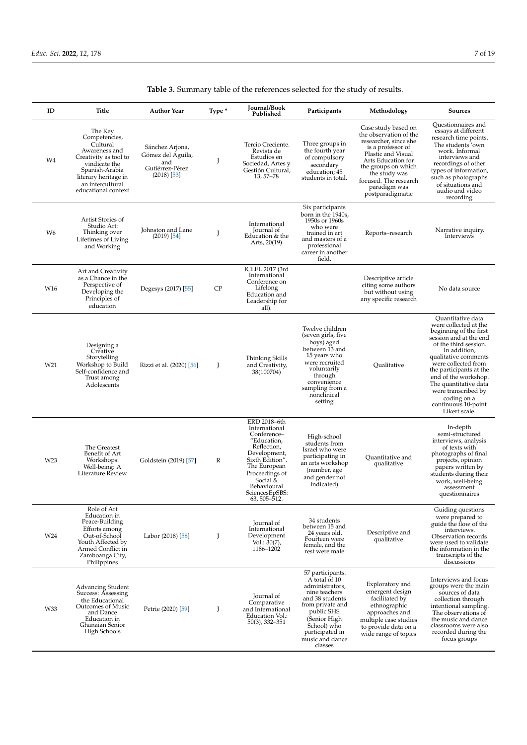| ID  | Title                                                                                                                                                                                | <b>Author Year</b>                                                              | Type * | Journal/Book<br>Published                                                                                                                                                                                    | Participants                                                                                                                                                                                               | Methodology                                                                                                                                                                                                                                  | <b>Sources</b>                                                                                                                                                                                                                                                                                                                                   |
|-----|--------------------------------------------------------------------------------------------------------------------------------------------------------------------------------------|---------------------------------------------------------------------------------|--------|--------------------------------------------------------------------------------------------------------------------------------------------------------------------------------------------------------------|------------------------------------------------------------------------------------------------------------------------------------------------------------------------------------------------------------|----------------------------------------------------------------------------------------------------------------------------------------------------------------------------------------------------------------------------------------------|--------------------------------------------------------------------------------------------------------------------------------------------------------------------------------------------------------------------------------------------------------------------------------------------------------------------------------------------------|
| W4  | The Key<br>Competencies,<br>Cultural<br>Awareness and<br>Creativity as tool to<br>vindicate the<br>Spanish-Arabia<br>literary heritage in<br>an intercultural<br>educational context | Sánchez Arjona,<br>Gómez del Águila,<br>and<br>Gutiérrez-Pérez<br>$(2018)$ [53] | J      | Tercio Creciente.<br>Revista de<br>Estudios en<br>Sociedad, Artes y<br>Gestión Cultural,<br>13, 57-78                                                                                                        | Three groups in<br>the fourth year<br>of compulsory<br>secondary<br>education; 45<br>students in total.                                                                                                    | Case study based on<br>the observation of the<br>researcher, since she<br>is a professor of<br>Plastic and Visual<br>Arts Education for<br>the groups on which<br>the study was<br>focused. The research<br>paradigm was<br>postparadigmatic | <b>Ouestionnaires and</b><br>essays at different<br>research time points.<br>The students 'own<br>work. Informal<br>interviews and<br>recordings of other<br>types of information,<br>such as photographs<br>of situations and<br>audio and video<br>recording                                                                                   |
| W6  | Artist Stories of<br>Studio Art:<br>Thinking over<br>Lifetimes of Living<br>and Working                                                                                              | Johnston and Lane<br>$(2019)$ [54]                                              | J      | International<br>Journal of<br>Education & the<br>Arts, $20(19)$                                                                                                                                             | Six participants<br>born in the 1940s,<br>1950s or 1960s<br>who were<br>trained in art<br>and masters of a<br>professional<br>career in another<br>field.                                                  | Reports-research                                                                                                                                                                                                                             | Narrative inquiry.<br>Interviews                                                                                                                                                                                                                                                                                                                 |
| W16 | Art and Creativity<br>as a Chance in the<br>Perspective of<br>Developing the<br>Principles of<br>education                                                                           | Degesys (2017) [55]                                                             | CP     | ICLEL 2017 (3rd<br>International<br>Conference on<br>Lifelong<br>Education and<br>Leadership for<br>all).                                                                                                    |                                                                                                                                                                                                            | Descriptive article<br>citing some authors<br>but without using<br>any specific research                                                                                                                                                     | No data source                                                                                                                                                                                                                                                                                                                                   |
| W21 | Designing a<br>Creative<br>Storytelling<br>Workshop to Build<br>Self-confidence and<br>Trust among<br>Adolescents                                                                    | Rizzi et al. (2020) [56]                                                        | J      | Thinking Skills<br>and Creativity,<br>38(100704)                                                                                                                                                             | Twelve children<br>(seven girls, five<br>boys) aged<br>between 13 and<br>15 years who<br>were recruited<br>voluntarily<br>through<br>convenience<br>sampling from a<br>nonclinical<br>setting              | Qualitative                                                                                                                                                                                                                                  | Quantitative data<br>were collected at the<br>beginning of the first<br>session and at the end<br>of the third session.<br>In addition,<br>qualitative comments<br>were collected from<br>the participants at the<br>end of the workshop.<br>The quantitative data<br>were transcribed by<br>coding on a<br>continuous 10-point<br>Likert scale. |
| W23 | The Greatest<br>Benefit of Art<br>Workshops:<br>Well-being: A<br>Literature Review                                                                                                   | Goldstein (2019) [57]                                                           | R      | ERD 2018-6th<br>International<br>Conference-<br>"Education,<br>Reflection,<br>Development,<br>Sixth Edition".<br>The European<br>Proceedings of<br>Social &<br>Behavioural<br>SciencesEpSBS:<br>63, 505-512. | High-school<br>students from<br>Israel who were<br>participating in<br>an arts workshop<br>(number, age<br>and gender not<br>indicated)                                                                    | Ouantitative and<br>qualitative                                                                                                                                                                                                              | In-depth<br>semi-structured<br>interviews, analysis<br>of texts with<br>photographs of final<br>projects, opinion<br>papers written by<br>students during their<br>work, well-being<br>assessment<br>questionnaires                                                                                                                              |
| W24 | Role of Art<br>Education in<br>Peace-Building<br>Efforts among<br>Out-of-School<br>Youth Affected by<br>Armed Conflict in<br>Zamboanga City,<br>Philippines                          | Labor (2018) [58]                                                               | J      | Journal of<br>International<br>Development<br>Vol.: 30(7),<br>1186-1202                                                                                                                                      | 34 students<br>between 15 and<br>24 years old.<br>Fourteen were<br>female, and the<br>rest were male                                                                                                       | Descriptive and<br>qualitative                                                                                                                                                                                                               | Guiding questions<br>were prepared to<br>guide the flow of the<br>interviews.<br>Observation records<br>were used to validate<br>the information in the<br>transcripts of the<br>discussions                                                                                                                                                     |
| W33 | Advancing Student<br>Success: Assessing<br>the Educational<br><b>Outcomes of Music</b><br>and Dance<br>Education in<br>Ghanaian Senior<br>High Schools                               | Petrie (2020) [59]                                                              | J      | Journal of<br>Comparative<br>and International<br>Education Vol.:<br>$50(3)$ , 332–351                                                                                                                       | 57 participants.<br>A total of 10<br>administrators,<br>nine teachers<br>and 38 students<br>from private and<br>public SHS<br>(Senior High<br>School) who<br>participated in<br>music and dance<br>classes | Exploratory and<br>emergent design<br>facilitated by<br>ethnographic<br>approaches and<br>multiple case studies<br>to provide data on a<br>wide range of topics                                                                              | Interviews and focus<br>groups were the main<br>sources of data<br>collection through<br>intentional sampling.<br>The observations of<br>the music and dance<br>classrooms were also<br>recorded during the<br>focus groups                                                                                                                      |

# **Table 3.** Summary table of the references selected for the study of results.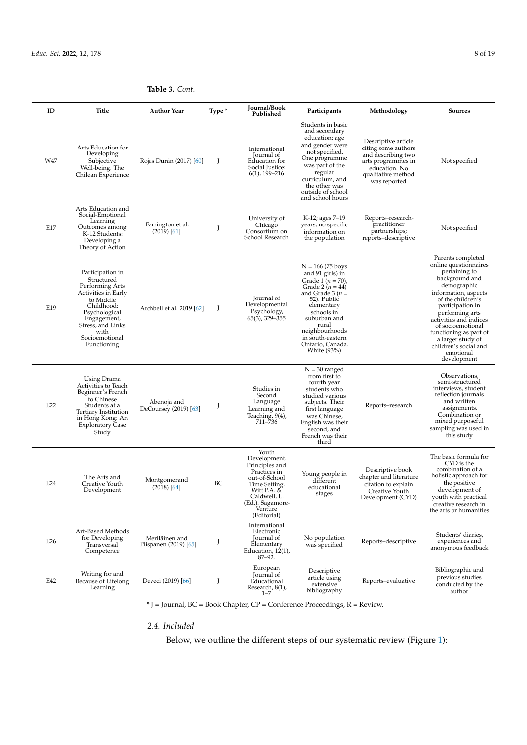| ID              | Title                                                                                                                                                                                             | <b>Author Year</b>                      | Type * | Journal/Book<br>Published                                                                                                                                              | Participants                                                                                                                                                                                                                                           | Methodology                                                                                                                                   | <b>Sources</b>                                                                                                                                                                                                                                                                                                                      |
|-----------------|---------------------------------------------------------------------------------------------------------------------------------------------------------------------------------------------------|-----------------------------------------|--------|------------------------------------------------------------------------------------------------------------------------------------------------------------------------|--------------------------------------------------------------------------------------------------------------------------------------------------------------------------------------------------------------------------------------------------------|-----------------------------------------------------------------------------------------------------------------------------------------------|-------------------------------------------------------------------------------------------------------------------------------------------------------------------------------------------------------------------------------------------------------------------------------------------------------------------------------------|
| W47             | Arts Education for<br>Developing<br>Subjective<br>Well-being. The<br>Chilean Experience                                                                                                           | Rojas Durán (2017) [60]                 | J      | International<br>Journal of<br>Education for<br>Social Justice:<br>$6(1)$ , 199-216                                                                                    | Students in basic<br>and secondary<br>education; age<br>and gender were<br>not specified.<br>One programme<br>was part of the<br>regular<br>curriculum, and<br>the other was<br>outside of school<br>and school hours                                  | Descriptive article<br>citing some authors<br>and describing two<br>arts programmes in<br>education. No<br>qualitative method<br>was reported | Not specified                                                                                                                                                                                                                                                                                                                       |
| E17             | Arts Education and<br>Social-Emotional<br>Learning<br>Outcomes among<br>K-12 Students:<br>Developing a<br>Theory of Action                                                                        | Farrington et al.<br>$(2019)$ [61]      | J      | University of<br>Chicago<br>Consortium on<br>School Research                                                                                                           | K-12; ages 7–19<br>years, no specific<br>information on<br>the population                                                                                                                                                                              | Reports–research-<br>practitioner<br>partnerships;<br>reports-descriptive                                                                     | Not specified                                                                                                                                                                                                                                                                                                                       |
| E19             | Participation in<br>Structured<br>Performing Arts<br>Activities in Early<br>to Middle<br>Childhood:<br>Psychological<br>Engagement,<br>Stress, and Links<br>with<br>Socioemotional<br>Functioning | Archbell et al. 2019 [62]               | J      | Journal of<br>Developmental<br>Psychology,<br>$65(3)$ , 329-355                                                                                                        | $N = 166 (75 boys$<br>and 91 girls) in<br>Grade 1 ( $n = 70$ ),<br>Grade 2 $(n = 44)$<br>and Grade $3(n=$<br>52). Public<br>elementary<br>schools in<br>suburban and<br>rural<br>neighbourhoods<br>in south-eastern<br>Ontario, Canada.<br>White (93%) |                                                                                                                                               | Parents completed<br>online questionnaires<br>pertaining to<br>background and<br>demographic<br>information, aspects<br>of the children's<br>participation in<br>performing arts<br>activities and indices<br>of socioemotional<br>functioning as part of<br>a larger study of<br>children's social and<br>emotional<br>development |
| E22             | Using Drama<br>Activities to Teach<br>Beginner's French<br>to Chinese<br>Students at a<br>Tertiary Institution<br>in Hong Kong: An<br><b>Exploratory Case</b><br>Study                            | Abenoja and<br>DeCoursey (2019) [63]    | J      | Studies in<br>Second<br>Language<br>Learning and<br>Teaching, $9(4)$ ,<br>711-736                                                                                      | $N = 30$ ranged<br>from first to<br>fourth year<br>students who<br>studied various<br>subjects. Their<br>first language<br>was Chinese,<br>English was their<br>second, and<br>French was their<br>third                                               | Reports–research                                                                                                                              | Observations,<br>semi-structured<br>interviews, student<br>reflection journals<br>and written<br>assignments.<br>Combination or<br>mixed purposeful<br>sampling was used in<br>this study                                                                                                                                           |
| E24             | The Arts and<br>Creative Youth<br>Development                                                                                                                                                     | Montgomerand<br>$(2018)$ [64]           | BC     | Youth<br>Development.<br>Principles and<br>Practices in<br>out-of-School<br>Time Setting.<br>Witt P.A. &<br>Caldwell, L.<br>(Ed.). Sagamore-<br>Venture<br>(Editorial) | Young people in<br>different<br>educational<br>stages                                                                                                                                                                                                  | Descriptive book<br>chapter and literature<br>citation to explain<br>Creative Youth<br>Development (CYD)                                      | The basic formula for<br>CYD is the<br>combination of a<br>holistic approach for<br>the positive<br>development of<br>youth with practical<br>creative research in<br>the arts or humanities                                                                                                                                        |
| E <sub>26</sub> | Art-Based Methods<br>for Developing<br>Transversal<br>Competence                                                                                                                                  | Meriläinen and<br>Piispanen (2019) [65] | J      | International<br>Electronic<br>Journal of<br>Elementary<br>Education, 12(1),<br>87-92.                                                                                 | No population<br>was specified                                                                                                                                                                                                                         | Reports-descriptive                                                                                                                           | Students' diaries,<br>experiences and<br>anonymous feedback                                                                                                                                                                                                                                                                         |
| E42             | Writing for and<br>Because of Lifelong<br>Learning                                                                                                                                                | Deveci (2019) [66]                      | J      | European<br><b>Journal</b> of<br>Educational<br>Research, 8(1),<br>$1 - 7$                                                                                             | Descriptive<br>article using<br>extensive<br>bibliography                                                                                                                                                                                              | Reports-evaluative                                                                                                                            | Bibliographic and<br>previous studies<br>conducted by the<br>author                                                                                                                                                                                                                                                                 |

<span id="page-7-0"></span>**Table 3.** *Cont.*

\* J = Journal, BC = Book Chapter, CP = Conference Proceedings, R = Review.

*2.4. Included*

Below, we outline the different steps of our systematic review (Figure [1\)](#page-8-0):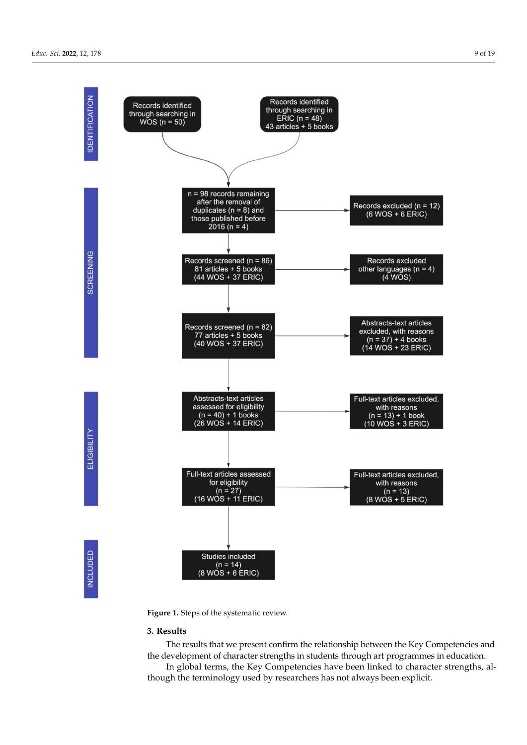**IDENTIFICATION** 

SCREENING



<span id="page-8-0"></span>Below, we outline the different steps of our systematic review (Figure 1):

**Figure 1.** Steps of the systematic review. **Figure 1.** Steps of the systematic review.

# **3. Results**

the development of character strengths in students through art programmes in education. The results that we present confirm the relationship between the Key Competencies and

In global terms, the Key Competencies have been linked to character strengths, although the terminology used by researchers has not always been explicit.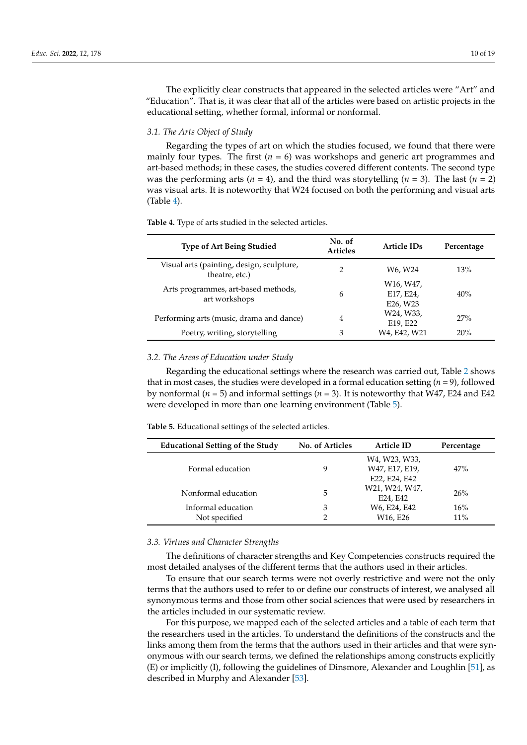The explicitly clear constructs that appeared in the selected articles were "Art" and "Education". That is, it was clear that all of the articles were based on artistic projects in the educational setting, whether formal, informal or nonformal.

# *3.1. The Arts Object of Study*

Regarding the types of art on which the studies focused, we found that there were mainly four types. The first  $(n = 6)$  was workshops and generic art programmes and art-based methods; in these cases, the studies covered different contents. The second type was the performing arts ( $n = 4$ ), and the third was storytelling ( $n = 3$ ). The last ( $n = 2$ ) was visual arts. It is noteworthy that W24 focused on both the performing and visual arts (Table [4\)](#page-9-0).

| <b>Type of Art Being Studied</b>                            | No. of<br><b>Articles</b> | Article IDs                        | Percentage |
|-------------------------------------------------------------|---------------------------|------------------------------------|------------|
| Visual arts (painting, design, sculpture,<br>theatre, etc.) | 2                         | W6. W24                            | 13%        |
| Arts programmes, art-based methods,<br>art workshops        | 6                         | W16, W47,<br>E17, E24,<br>E26, W23 | 40%        |
| Performing arts (music, drama and dance)                    | 4                         | W24, W33,<br>E19, E22              | 27%        |
| Poetry, writing, storytelling                               | 3                         | W4, E42, W21                       | 20%        |

<span id="page-9-0"></span>**Table 4.** Type of arts studied in the selected articles.

# *3.2. The Areas of Education under Study*

Regarding the educational settings where the research was carried out, Table [2](#page-2-0) shows that in most cases, the studies were developed in a formal education setting (*n* = 9), followed by nonformal ( $n = 5$ ) and informal settings ( $n = 3$ ). It is noteworthy that W47, E24 and E42 were developed in more than one learning environment (Table [5\)](#page-9-1).

<span id="page-9-1"></span>

| <b>Educational Setting of the Study</b> | <b>No. of Articles</b> | <b>Article ID</b>                           | Percentage |
|-----------------------------------------|------------------------|---------------------------------------------|------------|
| Formal education                        | 9                      | W4, W23, W33,<br>W47, E17, E19,             | 47%        |
| Nonformal education                     | 5                      | E22, E24, E42<br>W21, W24, W47,<br>E24, E42 | 26%        |
| Informal education<br>Not specified     | 3<br>2                 | W6, E24, E42<br>W16, E26                    | 16%<br>11% |

#### *3.3. Virtues and Character Strengths*

The definitions of character strengths and Key Competencies constructs required the most detailed analyses of the different terms that the authors used in their articles.

To ensure that our search terms were not overly restrictive and were not the only terms that the authors used to refer to or define our constructs of interest, we analysed all synonymous terms and those from other social sciences that were used by researchers in the articles included in our systematic review.

For this purpose, we mapped each of the selected articles and a table of each term that the researchers used in the articles. To understand the definitions of the constructs and the links among them from the terms that the authors used in their articles and that were synonymous with our search terms, we defined the relationships among constructs explicitly (E) or implicitly (I), following the guidelines of Dinsmore, Alexander and Loughlin [\[51\]](#page-18-7), as described in Murphy and Alexander [\[53\]](#page-18-9).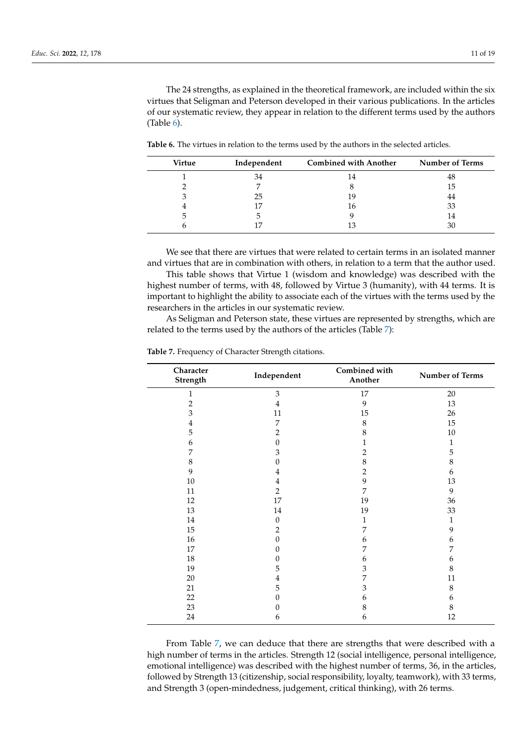The 24 strengths, as explained in the theoretical framework, are included within the six virtues that Seligman and Peterson developed in their various publications. In the articles of our systematic review, they appear in relation to the different terms used by the authors (Table [6\)](#page-10-0).

<span id="page-10-0"></span>**Table 6.** The virtues in relation to the terms used by the authors in the selected articles.

| <b>Virtue</b> | Independent | <b>Combined with Another</b> | <b>Number of Terms</b> |
|---------------|-------------|------------------------------|------------------------|
|               | 34          | 14                           | 48                     |
|               |             |                              | 15                     |
|               | 25          | 19                           | 44                     |
|               |             | 16                           | 33                     |
|               |             |                              | 14                     |
|               |             |                              | 30                     |

We see that there are virtues that were related to certain terms in an isolated manner and virtues that are in combination with others, in relation to a term that the author used.

This table shows that Virtue 1 (wisdom and knowledge) was described with the highest number of terms, with 48, followed by Virtue 3 (humanity), with 44 terms. It is important to highlight the ability to associate each of the virtues with the terms used by the researchers in the articles in our systematic review.

As Seligman and Peterson state, these virtues are represented by strengths, which are related to the terms used by the authors of the articles (Table [7\)](#page-10-1):

| Character<br>Strength | Independent    | Combined with<br>Another | <b>Number of Terms</b> |
|-----------------------|----------------|--------------------------|------------------------|
| 1                     | $\mathfrak{Z}$ | 17                       | $20\,$                 |
| $\mathbf{2}$          | $\bf 4$        | 9                        | 13                     |
| $\mathfrak{Z}$        | 11             | 15                       | 26                     |
| 4                     | 7              | $\,8\,$                  | 15                     |
| 5                     | 2              | 8                        | $10\,$                 |
| 6                     | $\mathbf{0}$   | 1                        | 1                      |
| 7                     | 3              | $\mathbf{2}$             | 5                      |
| 8                     | 0              | $\,$ 8 $\,$              | 8                      |
| 9                     | 4              | $\mathbf{2}$             | 6                      |
| $10\,$                | 4              | 9                        | 13                     |
| 11                    | $\mathbf{2}$   | $\overline{7}$           | 9                      |
| 12                    | 17             | 19                       | 36                     |
| 13                    | $14\,$         | 19                       | 33                     |
| $14\,$                | $\theta$       | $\mathbf{1}$             | 1                      |
| 15                    | 2              | 7                        | 9                      |
| $16\,$                | $\Omega$       | 6                        | 6                      |
| 17                    | 0              | 7                        | 7                      |
| $18\,$                | 0              | 6                        | 6                      |
| 19                    | 5              | 3                        | 8                      |
| 20                    | 4              | 7                        | 11                     |
| 21                    | 5              | 3                        | 8                      |
| 22                    | 0              | 6                        | 6                      |
| 23                    | 0              | 8                        | $\,$ 8 $\,$            |
| 24                    | 6              | 6                        | 12                     |

<span id="page-10-1"></span>**Table 7.** Frequency of Character Strength citations.

From Table [7,](#page-10-1) we can deduce that there are strengths that were described with a high number of terms in the articles. Strength 12 (social intelligence, personal intelligence, emotional intelligence) was described with the highest number of terms, 36, in the articles, followed by Strength 13 (citizenship, social responsibility, loyalty, teamwork), with 33 terms, and Strength 3 (open-mindedness, judgement, critical thinking), with 26 terms.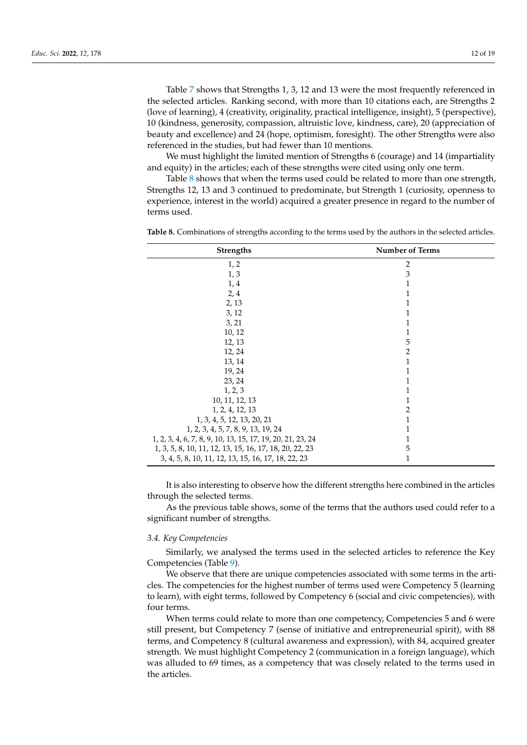Table [7](#page-10-1) shows that Strengths 1, 3, 12 and 13 were the most frequently referenced in the selected articles. Ranking second, with more than 10 citations each, are Strengths 2 (love of learning), 4 (creativity, originality, practical intelligence, insight), 5 (perspective), 10 (kindness, generosity, compassion, altruistic love, kindness, care), 20 (appreciation of beauty and excellence) and 24 (hope, optimism, foresight). The other Strengths were also referenced in the studies, but had fewer than 10 mentions.

We must highlight the limited mention of Strengths 6 (courage) and 14 (impartiality and equity) in the articles; each of these strengths were cited using only one term.

Table [8](#page-11-0) shows that when the terms used could be related to more than one strength, Strengths 12, 13 and 3 continued to predominate, but Strength 1 (curiosity, openness to experience, interest in the world) acquired a greater presence in regard to the number of terms used.

**Strengths** Number of Terms  $1, 2$  2  $1, 3$  3  $1, 4$  1  $2, 4$  1  $2, 13$  1  $3, 12$  1  $3, 21$  1  $10, 12$  1  $12, 13$  5  $12, 24$  2 13, 14 1 19, 24 1 23, 24 1  $1, 2, 3$  1 10, 11, 12, 13 1 1, 2, 4, 12, 13 2 1, 3, 4, 5, 12, 13, 20, 21<br>2, 3, 4, 5, 7, 8, 9, 13, 19, 24<br>1 1, 2, 3, 4, 5, 7, 8, 9, 13, 19, 24 1 1, 2, 3, 4, 6, 7, 8, 9, 10, 13, 15, 17, 19, 20, 21, 23, 24<br>1, 3, 5, 8, 10, 11, 12, 13, 15, 16, 17, 18, 20, 22, 23<br>5 1, 3, 5, 8, 10, 11, 12, 13, 15, 16, 17, 18, 20, 22, 23 5 3, 4, 5, 8, 10, 11, 12, 13, 15, 16, 17, 18, 22, 23 1

<span id="page-11-0"></span>**Table 8.** Combinations of strengths according to the terms used by the authors in the selected articles.

It is also interesting to observe how the different strengths here combined in the articles through the selected terms.

As the previous table shows, some of the terms that the authors used could refer to a significant number of strengths.

# *3.4. Key Competencies*

Similarly, we analysed the terms used in the selected articles to reference the Key Competencies (Table [9\)](#page-12-0).

We observe that there are unique competencies associated with some terms in the articles. The competencies for the highest number of terms used were Competency 5 (learning to learn), with eight terms, followed by Competency 6 (social and civic competencies), with four terms.

When terms could relate to more than one competency, Competencies 5 and 6 were still present, but Competency 7 (sense of initiative and entrepreneurial spirit), with 88 terms, and Competency 8 (cultural awareness and expression), with 84, acquired greater strength. We must highlight Competency 2 (communication in a foreign language), which was alluded to 69 times, as a competency that was closely related to the terms used in the articles.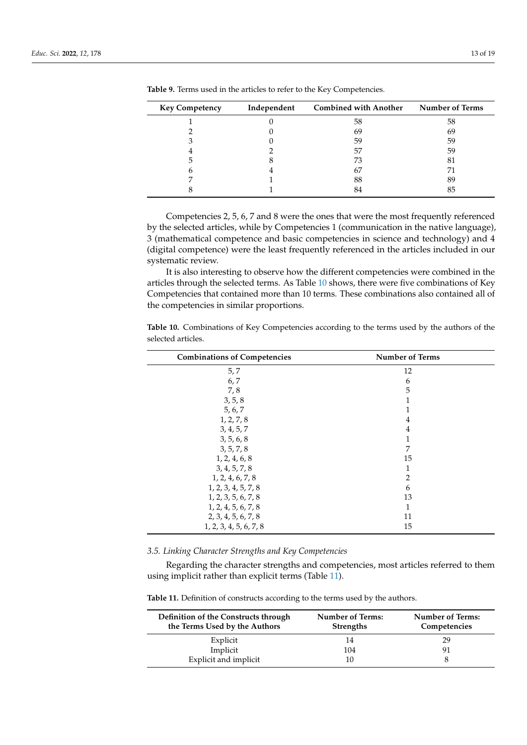| <b>Key Competency</b> | Independent | <b>Combined with Another</b> | <b>Number of Terms</b> |
|-----------------------|-------------|------------------------------|------------------------|
|                       |             | 58                           | 58                     |
|                       |             | 69                           | 69                     |
|                       |             | 59                           | 59                     |
|                       |             | 57                           | 59                     |
|                       |             | 73                           | 81                     |
|                       |             | 67                           |                        |
|                       |             | 88                           | 89                     |
|                       |             |                              |                        |

<span id="page-12-0"></span>**Table 9.** Terms used in the articles to refer to the Key Competencies.

Competencies 2, 5, 6, 7 and 8 were the ones that were the most frequently referenced by the selected articles, while by Competencies 1 (communication in the native language), 3 (mathematical competence and basic competencies in science and technology) and 4 (digital competence) were the least frequently referenced in the articles included in our systematic review.

It is also interesting to observe how the different competencies were combined in the articles through the selected terms. As Table [10](#page-12-1) shows, there were five combinations of Key Competencies that contained more than 10 terms. These combinations also contained all of the competencies in similar proportions.

<span id="page-12-1"></span>**Table 10.** Combinations of Key Competencies according to the terms used by the authors of the selected articles.

| <b>Combinations of Competencies</b> | <b>Number of Terms</b> |
|-------------------------------------|------------------------|
| 5, 7                                | 12                     |
| 6, 7                                | 6                      |
| 7,8                                 | 5                      |
| 3, 5, 8                             | 1                      |
| 5, 6, 7                             |                        |
| 1, 2, 7, 8                          | 4                      |
| 3, 4, 5, 7                          | $\overline{4}$         |
| 3, 5, 6, 8                          | 1                      |
| 3, 5, 7, 8                          | 7                      |
| 1, 2, 4, 6, 8                       | 15                     |
| 3, 4, 5, 7, 8                       | 1                      |
| 1, 2, 4, 6, 7, 8                    | $\overline{2}$         |
| 1, 2, 3, 4, 5, 7, 8                 | 6                      |
| 1, 2, 3, 5, 6, 7, 8                 | 13                     |
| 1, 2, 4, 5, 6, 7, 8                 | 1                      |
| 2, 3, 4, 5, 6, 7, 8                 | 11                     |
| 1, 2, 3, 4, 5, 6, 7, 8              | 15                     |

*3.5. Linking Character Strengths and Key Competencies*

Regarding the character strengths and competencies, most articles referred to them using implicit rather than explicit terms (Table [11\)](#page-12-2).

<span id="page-12-2"></span>**Table 11.** Definition of constructs according to the terms used by the authors.

| Definition of the Constructs through<br>the Terms Used by the Authors | <b>Number of Terms:</b><br><b>Strengths</b> | <b>Number of Terms:</b><br>Competencies |
|-----------------------------------------------------------------------|---------------------------------------------|-----------------------------------------|
| Explicit                                                              | 14                                          | 29                                      |
| Implicit                                                              | 104                                         | 91                                      |
| Explicit and implicit                                                 | 10                                          |                                         |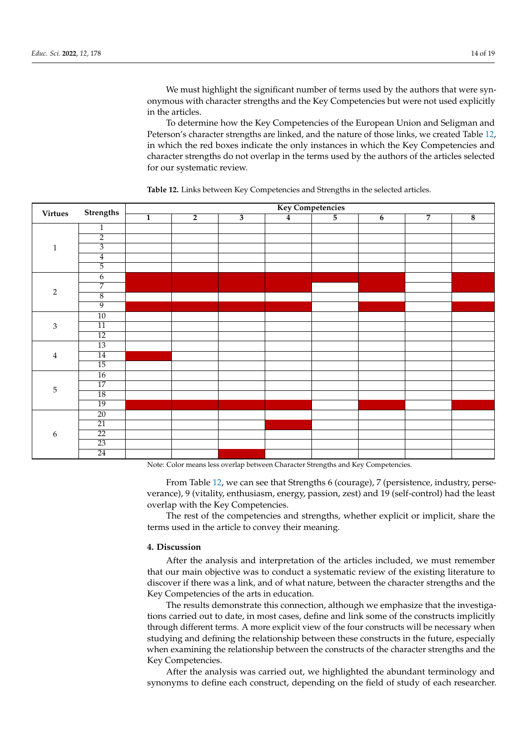We must highlight the significant number of terms used by the authors that were synonymous with character strengths and the Key Competencies but were not used explicitly in the articles.

To determine how the Key Competencies of the European Union and Seligman and Peterson's character strengths are linked, and the nature of those links, we created Table [12,](#page-13-0) in which the red boxes indicate the only instances in which the Key Competencies and character strengths do not overlap in the terms used by the authors of the articles selected for our systematic review.

| <b>Virtues</b> | Strengths       | <b>Key Competencies</b> |                |                         |                |                |                |                |                         |
|----------------|-----------------|-------------------------|----------------|-------------------------|----------------|----------------|----------------|----------------|-------------------------|
|                |                 | $\overline{1}$          | $\overline{2}$ | $\overline{\mathbf{3}}$ | $\overline{4}$ | $\overline{5}$ | $\overline{6}$ | $\overline{7}$ | $\overline{\mathbf{8}}$ |
| $1\,$          | $\mathbf{1}$    |                         |                |                         |                |                |                |                |                         |
|                | $\overline{2}$  |                         |                |                         |                |                |                |                |                         |
|                | $\overline{3}$  |                         |                |                         |                |                |                |                |                         |
|                | $\overline{4}$  |                         |                |                         |                |                |                |                |                         |
|                | 5               |                         |                |                         |                |                |                |                |                         |
| $\sqrt{2}$     | $\overline{6}$  |                         |                |                         |                |                |                |                |                         |
|                | 7               |                         |                |                         |                |                |                |                |                         |
|                | $\,8\,$         |                         |                |                         |                |                |                |                |                         |
|                | $\overline{9}$  |                         |                |                         |                |                |                |                |                         |
| $\mathfrak 3$  | $\overline{10}$ |                         |                |                         |                |                |                |                |                         |
|                | 11              |                         |                |                         |                |                |                |                |                         |
|                | $\overline{12}$ |                         |                |                         |                |                |                |                |                         |
| $\bf{4}$       | $\overline{13}$ |                         |                |                         |                |                |                |                |                         |
|                | 14              |                         |                |                         |                |                |                |                |                         |
|                | $\overline{15}$ |                         |                |                         |                |                |                |                |                         |
| 5              | $\overline{16}$ |                         |                |                         |                |                |                |                |                         |
|                | $\overline{17}$ |                         |                |                         |                |                |                |                |                         |
|                | $\overline{18}$ |                         |                |                         |                |                |                |                |                         |
|                | $\overline{19}$ |                         |                |                         |                |                |                |                |                         |
| 6              | $\overline{20}$ |                         |                |                         |                |                |                |                |                         |
|                | $\overline{21}$ |                         |                |                         |                |                |                |                |                         |
|                | $\overline{22}$ |                         |                |                         |                |                |                |                |                         |
|                | $\overline{23}$ |                         |                |                         |                |                |                |                |                         |
|                | 24              |                         |                |                         |                |                |                |                |                         |

<span id="page-13-0"></span>**Table 12.** Links between Key Competencies and Strengths in the selected articles.

Note: Color means less overlap between Character Strengths and Key Competencies.

From Table [12,](#page-13-0) we can see that Strengths 6 (courage), 7 (persistence, industry, perseverance), 9 (vitality, enthusiasm, energy, passion, zest) and 19 (self-control) had the least overlap with the Key Competencies.

The rest of the competencies and strengths, whether explicit or implicit, share the terms used in the article to convey their meaning.

# **4. Discussion**

After the analysis and interpretation of the articles included, we must remember that our main objective was to conduct a systematic review of the existing literature to discover if there was a link, and of what nature, between the character strengths and the Key Competencies of the arts in education.

The results demonstrate this connection, although we emphasize that the investigations carried out to date, in most cases, define and link some of the constructs implicitly through different terms. A more explicit view of the four constructs will be necessary when studying and defining the relationship between these constructs in the future, especially when examining the relationship between the constructs of the character strengths and the Key Competencies.

After the analysis was carried out, we highlighted the abundant terminology and synonyms to define each construct, depending on the field of study of each researcher.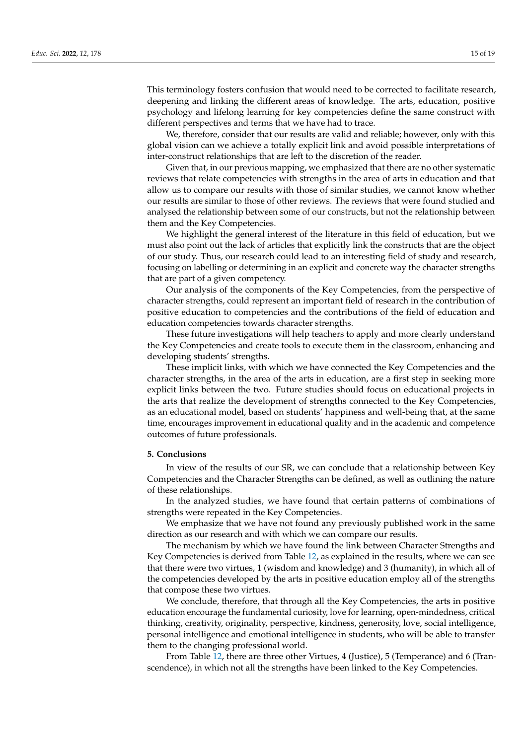This terminology fosters confusion that would need to be corrected to facilitate research, deepening and linking the different areas of knowledge. The arts, education, positive psychology and lifelong learning for key competencies define the same construct with different perspectives and terms that we have had to trace.

We, therefore, consider that our results are valid and reliable; however, only with this global vision can we achieve a totally explicit link and avoid possible interpretations of inter-construct relationships that are left to the discretion of the reader.

Given that, in our previous mapping, we emphasized that there are no other systematic reviews that relate competencies with strengths in the area of arts in education and that allow us to compare our results with those of similar studies, we cannot know whether our results are similar to those of other reviews. The reviews that were found studied and analysed the relationship between some of our constructs, but not the relationship between them and the Key Competencies.

We highlight the general interest of the literature in this field of education, but we must also point out the lack of articles that explicitly link the constructs that are the object of our study. Thus, our research could lead to an interesting field of study and research, focusing on labelling or determining in an explicit and concrete way the character strengths that are part of a given competency.

Our analysis of the components of the Key Competencies, from the perspective of character strengths, could represent an important field of research in the contribution of positive education to competencies and the contributions of the field of education and education competencies towards character strengths.

These future investigations will help teachers to apply and more clearly understand the Key Competencies and create tools to execute them in the classroom, enhancing and developing students' strengths.

These implicit links, with which we have connected the Key Competencies and the character strengths, in the area of the arts in education, are a first step in seeking more explicit links between the two. Future studies should focus on educational projects in the arts that realize the development of strengths connected to the Key Competencies, as an educational model, based on students' happiness and well-being that, at the same time, encourages improvement in educational quality and in the academic and competence outcomes of future professionals.

#### **5. Conclusions**

In view of the results of our SR, we can conclude that a relationship between Key Competencies and the Character Strengths can be defined, as well as outlining the nature of these relationships.

In the analyzed studies, we have found that certain patterns of combinations of strengths were repeated in the Key Competencies.

We emphasize that we have not found any previously published work in the same direction as our research and with which we can compare our results.

The mechanism by which we have found the link between Character Strengths and Key Competencies is derived from Table [12,](#page-13-0) as explained in the results, where we can see that there were two virtues, 1 (wisdom and knowledge) and 3 (humanity), in which all of the competencies developed by the arts in positive education employ all of the strengths that compose these two virtues.

We conclude, therefore, that through all the Key Competencies, the arts in positive education encourage the fundamental curiosity, love for learning, open-mindedness, critical thinking, creativity, originality, perspective, kindness, generosity, love, social intelligence, personal intelligence and emotional intelligence in students, who will be able to transfer them to the changing professional world.

From Table [12,](#page-13-0) there are three other Virtues, 4 (Justice), 5 (Temperance) and 6 (Transcendence), in which not all the strengths have been linked to the Key Competencies.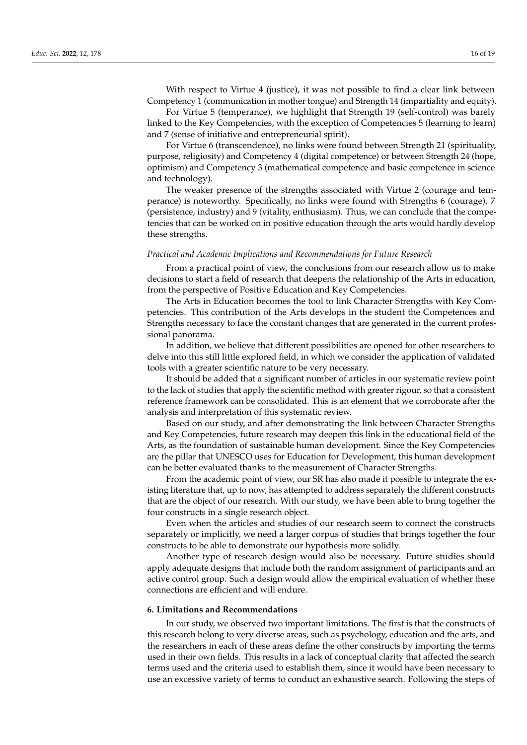With respect to Virtue 4 (justice), it was not possible to find a clear link between Competency 1 (communication in mother tongue) and Strength 14 (impartiality and equity).

For Virtue 5 (temperance), we highlight that Strength 19 (self-control) was barely linked to the Key Competencies, with the exception of Competencies 5 (learning to learn) and 7 (sense of initiative and entrepreneurial spirit).

For Virtue 6 (transcendence), no links were found between Strength 21 (spirituality, purpose, religiosity) and Competency 4 (digital competence) or between Strength 24 (hope, optimism) and Competency 3 (mathematical competence and basic competence in science and technology).

The weaker presence of the strengths associated with Virtue 2 (courage and temperance) is noteworthy. Specifically, no links were found with Strengths 6 (courage), 7 (persistence, industry) and 9 (vitality, enthusiasm). Thus, we can conclude that the competencies that can be worked on in positive education through the arts would hardly develop these strengths.

#### *Practical and Academic Implications and Recommendations for Future Research*

From a practical point of view, the conclusions from our research allow us to make decisions to start a field of research that deepens the relationship of the Arts in education, from the perspective of Positive Education and Key Competencies.

The Arts in Education becomes the tool to link Character Strengths with Key Competencies. This contribution of the Arts develops in the student the Competences and Strengths necessary to face the constant changes that are generated in the current professional panorama.

In addition, we believe that different possibilities are opened for other researchers to delve into this still little explored field, in which we consider the application of validated tools with a greater scientific nature to be very necessary.

It should be added that a significant number of articles in our systematic review point to the lack of studies that apply the scientific method with greater rigour, so that a consistent reference framework can be consolidated. This is an element that we corroborate after the analysis and interpretation of this systematic review.

Based on our study, and after demonstrating the link between Character Strengths and Key Competencies, future research may deepen this link in the educational field of the Arts, as the foundation of sustainable human development. Since the Key Competencies are the pillar that UNESCO uses for Education for Development, this human development can be better evaluated thanks to the measurement of Character Strengths.

From the academic point of view, our SR has also made it possible to integrate the existing literature that, up to now, has attempted to address separately the different constructs that are the object of our research. With our study, we have been able to bring together the four constructs in a single research object.

Even when the articles and studies of our research seem to connect the constructs separately or implicitly, we need a larger corpus of studies that brings together the four constructs to be able to demonstrate our hypothesis more solidly.

Another type of research design would also be necessary. Future studies should apply adequate designs that include both the random assignment of participants and an active control group. Such a design would allow the empirical evaluation of whether these connections are efficient and will endure.

#### **6. Limitations and Recommendations**

In our study, we observed two important limitations. The first is that the constructs of this research belong to very diverse areas, such as psychology, education and the arts, and the researchers in each of these areas define the other constructs by importing the terms used in their own fields. This results in a lack of conceptual clarity that affected the search terms used and the criteria used to establish them, since it would have been necessary to use an excessive variety of terms to conduct an exhaustive search. Following the steps of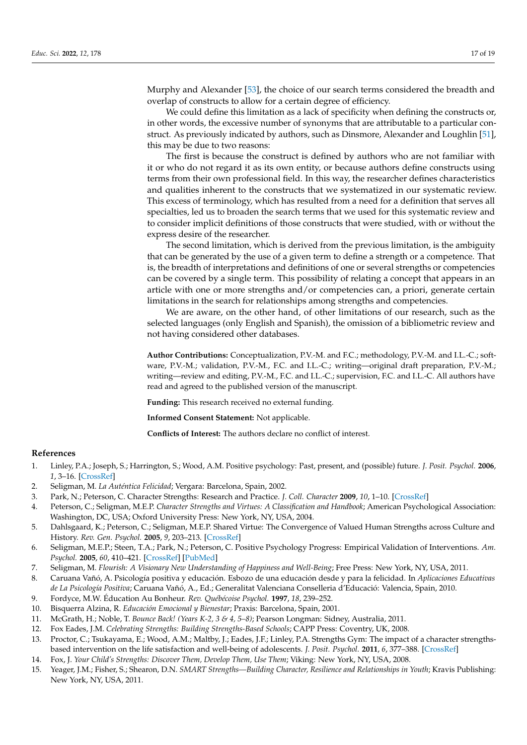Murphy and Alexander [\[53\]](#page-18-9), the choice of our search terms considered the breadth and overlap of constructs to allow for a certain degree of efficiency.

We could define this limitation as a lack of specificity when defining the constructs or, in other words, the excessive number of synonyms that are attributable to a particular construct. As previously indicated by authors, such as Dinsmore, Alexander and Loughlin [\[51\]](#page-18-7), this may be due to two reasons:

The first is because the construct is defined by authors who are not familiar with it or who do not regard it as its own entity, or because authors define constructs using terms from their own professional field. In this way, the researcher defines characteristics and qualities inherent to the constructs that we systematized in our systematic review. This excess of terminology, which has resulted from a need for a definition that serves all specialties, led us to broaden the search terms that we used for this systematic review and to consider implicit definitions of those constructs that were studied, with or without the express desire of the researcher.

The second limitation, which is derived from the previous limitation, is the ambiguity that can be generated by the use of a given term to define a strength or a competence. That is, the breadth of interpretations and definitions of one or several strengths or competencies can be covered by a single term. This possibility of relating a concept that appears in an article with one or more strengths and/or competencies can, a priori, generate certain limitations in the search for relationships among strengths and competencies.

We are aware, on the other hand, of other limitations of our research, such as the selected languages (only English and Spanish), the omission of a bibliometric review and not having considered other databases.

**Author Contributions:** Conceptualization, P.V.-M. and F.C.; methodology, P.V.-M. and I.L.-C.; software, P.V.-M.; validation, P.V.-M., F.C. and I.L.-C.; writing—original draft preparation, P.V.-M.; writing—review and editing, P.V.-M., F.C. and I.L.-C.; supervision, F.C. and I.L.-C. All authors have read and agreed to the published version of the manuscript.

**Funding:** This research received no external funding.

**Informed Consent Statement:** Not applicable.

**Conflicts of Interest:** The authors declare no conflict of interest.

# **References**

- <span id="page-16-0"></span>1. Linley, P.A.; Joseph, S.; Harrington, S.; Wood, A.M. Positive psychology: Past, present, and (possible) future. *J. Posit. Psychol.* **2006**, *1*, 3–16. [\[CrossRef\]](http://doi.org/10.1080/17439760500372796)
- <span id="page-16-1"></span>2. Seligman, M. *La Auténtica Felicidad*; Vergara: Barcelona, Spain, 2002.
- <span id="page-16-2"></span>3. Park, N.; Peterson, C. Character Strengths: Research and Practice. *J. Coll. Character* **2009**, *10*, 1–10. [\[CrossRef\]](http://doi.org/10.2202/1940-1639.1042)
- <span id="page-16-3"></span>4. Peterson, C.; Seligman, M.E.P. *Character Strengths and Virtues: A Classification and Handbook*; American Psychological Association: Washington, DC, USA; Oxford University Press: New York, NY, USA, 2004.
- <span id="page-16-4"></span>5. Dahlsgaard, K.; Peterson, C.; Seligman, M.E.P. Shared Virtue: The Convergence of Valued Human Strengths across Culture and History. *Rev. Gen. Psychol.* **2005**, *9*, 203–213. [\[CrossRef\]](http://doi.org/10.1037/1089-2680.9.3.203)
- <span id="page-16-5"></span>6. Seligman, M.E.P.; Steen, T.A.; Park, N.; Peterson, C. Positive Psychology Progress: Empirical Validation of Interventions. *Am. Psychol.* **2005**, *60*, 410–421. [\[CrossRef\]](http://doi.org/10.1037/0003-066X.60.5.410) [\[PubMed\]](http://www.ncbi.nlm.nih.gov/pubmed/16045394)
- <span id="page-16-6"></span>7. Seligman, M. *Flourish: A Visionary New Understanding of Happiness and Well-Being*; Free Press: New York, NY, USA, 2011.
- <span id="page-16-7"></span>8. Caruana Vañó, A. Psicología positiva y educación. Esbozo de una educación desde y para la felicidad. In *Aplicaciones Educativas de La Psicología Positiva*; Caruana Vañó, A., Ed.; Generalitat Valenciana Conselleria d'Educació: Valencia, Spain, 2010.
- <span id="page-16-8"></span>9. Fordyce, M.W. Éducation Au Bonheur. *Rev. Québécoise Psychol.* **1997**, *18*, 239–252.
- <span id="page-16-9"></span>10. Bisquerra Alzina, R. *Educación Emocional y Bienestar*; Praxis: Barcelona, Spain, 2001.
- <span id="page-16-10"></span>11. McGrath, H.; Noble, T. *Bounce Back! (Years K-2, 3 & 4, 5–8)*; Pearson Longman: Sidney, Australia, 2011.
- <span id="page-16-11"></span>12. Fox Eades, J.M. *Celebrating Strengths: Building Strengths-Based Schools*; CAPP Press: Coventry, UK, 2008.
- <span id="page-16-12"></span>13. Proctor, C.; Tsukayama, E.; Wood, A.M.; Maltby, J.; Eades, J.F.; Linley, P.A. Strengths Gym: The impact of a character strengthsbased intervention on the life satisfaction and well-being of adolescents. *J. Posit. Psychol.* **2011**, *6*, 377–388. [\[CrossRef\]](http://doi.org/10.1080/17439760.2011.594079)
- <span id="page-16-13"></span>14. Fox, J. *Your Child's Strengths: Discover Them, Develop Them, Use Them*; Viking: New York, NY, USA, 2008.
- <span id="page-16-14"></span>15. Yeager, J.M.; Fisher, S.; Shearon, D.N. *SMART Strengths—Building Character, Resilience and Relationships in Youth*; Kravis Publishing: New York, NY, USA, 2011.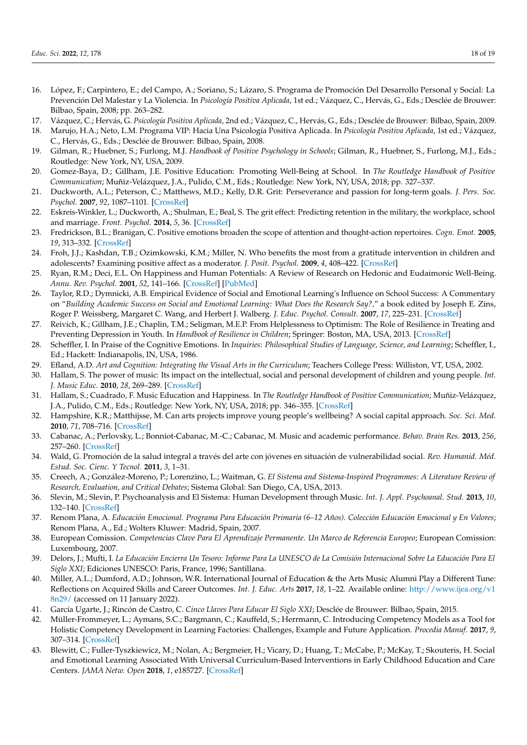- <span id="page-17-0"></span>16. López, F.; Carpintero, E.; del Campo, A.; Soriano, S.; Lázaro, S. Programa de Promoción Del Desarrollo Personal y Social: La Prevención Del Malestar y La Violencia. In *Psicología Positiva Aplicada*, 1st ed.; Vázquez, C., Hervás, G., Eds.; Desclée de Brouwer: Bilbao, Spain, 2008; pp. 263–282.
- <span id="page-17-1"></span>17. Vázquez, C.; Hervás, G. *Psicología Positiva Aplicada*, 2nd ed.; Vázquez, C., Hervás, G., Eds.; Desclée de Brouwer: Bilbao, Spain, 2009.
- <span id="page-17-2"></span>18. Marujo, H.A.; Neto, L.M. Programa VIP: Hacia Una Psicología Positiva Aplicada. In *Psicología Positiva Aplicada*, 1st ed.; Vázquez, C., Hervás, G., Eds.; Desclée de Brouwer: Bilbao, Spain, 2008.
- <span id="page-17-3"></span>19. Gilman, R.; Huebner, S.; Furlong, M.J. *Handbook of Positive Psychology in Schools*; Gilman, R., Huebner, S., Furlong, M.J., Eds.; Routledge: New York, NY, USA, 2009.
- <span id="page-17-4"></span>20. Gomez-Baya, D.; Gillham, J.E. Positive Education: Promoting Well-Being at School. In *The Routledge Handbook of Positive Communication*; Muñiz-Velázquez, J.A., Pulido, C.M., Eds.; Routledge: New York, NY, USA, 2018; pp. 327–337.
- <span id="page-17-5"></span>21. Duckworth, A.L.; Peterson, C.; Matthews, M.D.; Kelly, D.R. Grit: Perseverance and passion for long-term goals. *J. Pers. Soc. Psychol.* **2007**, *92*, 1087–1101. [\[CrossRef\]](http://doi.org/10.1037/0022-3514.92.6.1087)
- 22. Eskreis-Winkler, L.; Duckworth, A.; Shulman, E.; Beal, S. The grit effect: Predicting retention in the military, the workplace, school and marriage. *Front. Psychol.* **2014**, *5*, 36. [\[CrossRef\]](http://doi.org/10.3389/fpsyg.2014.00036)
- 23. Fredrickson, B.L.; Branigan, C. Positive emotions broaden the scope of attention and thought-action repertoires. *Cogn. Emot.* **2005**, *19*, 313–332. [\[CrossRef\]](http://doi.org/10.1080/02699930441000238)
- 24. Froh, J.J.; Kashdan, T.B.; Ozimkowski, K.M.; Miller, N. Who benefits the most from a gratitude intervention in children and adolescents? Examining positive affect as a moderator. *J. Posit. Psychol.* **2009**, *4*, 408–422. [\[CrossRef\]](http://doi.org/10.1080/17439760902992464)
- 25. Ryan, R.M.; Deci, E.L. On Happiness and Human Potentials: A Review of Research on Hedonic and Eudaimonic Well-Being. *Annu. Rev. Psychol.* **2001**, *52*, 141–166. [\[CrossRef\]](http://doi.org/10.1146/annurev.psych.52.1.141) [\[PubMed\]](http://www.ncbi.nlm.nih.gov/pubmed/11148302)
- <span id="page-17-6"></span>26. Taylor, R.D.; Dymnicki, A.B. Empirical Evidence of Social and Emotional Learning's Influence on School Success: A Commentary on "*Building Academic Success on Social and Emotional Learning: What Does the Research Say?,*" a book edited by Joseph E. Zins, Roger P. Weissberg, Margaret C. Wang, and Herbert J. Walberg. *J. Educ. Psychol. Consult.* **2007**, *17*, 225–231. [\[CrossRef\]](http://doi.org/10.1080/10474410701346725)
- <span id="page-17-7"></span>27. Reivich, K.; Gillham, J.E.; Chaplin, T.M.; Seligman, M.E.P. From Helplessness to Optimism: The Role of Resilience in Treating and Preventing Depression in Youth. In *Handbook of Resilience in Children*; Springer: Boston, MA, USA, 2013. [\[CrossRef\]](http://doi.org/10.1007/978-1-4614-3661-4_12)
- <span id="page-17-8"></span>28. Scheffler, I. In Praise of the Cognitive Emotions. In *Inquiries: Philosophical Studies of Language, Science, and Learning*; Scheffler, I., Ed.; Hackett: Indianapolis, IN, USA, 1986.
- <span id="page-17-9"></span>29. Efland, A.D. *Art and Cognition: Integrating the Visual Arts in the Curriculum*; Teachers College Press: Williston, VT, USA, 2002.
- <span id="page-17-10"></span>30. Hallam, S. The power of music: Its impact on the intellectual, social and personal development of children and young people. *Int. J. Music Educ.* **2010**, *28*, 269–289. [\[CrossRef\]](http://doi.org/10.1177/0255761410370658)
- <span id="page-17-11"></span>31. Hallam, S.; Cuadrado, F. Music Education and Happiness. In *The Routledge Handbook of Positive Communication*; Muñiz-Velázquez, J.A., Pulido, C.M., Eds.; Routledge: New York, NY, USA, 2018; pp. 346–355. [\[CrossRef\]](http://doi.org/10.4324/9781315207759)
- <span id="page-17-12"></span>32. Hampshire, K.R.; Matthijsse, M. Can arts projects improve young people's wellbeing? A social capital approach. *Soc. Sci. Med.* **2010**, *71*, 708–716. [\[CrossRef\]](http://doi.org/10.1016/j.socscimed.2010.05.015)
- <span id="page-17-13"></span>33. Cabanac, A.; Perlovsky, L.; Bonniot-Cabanac, M.-C.; Cabanac, M. Music and academic performance. *Behav. Brain Res.* **2013**, *256*, 257–260. [\[CrossRef\]](http://doi.org/10.1016/j.bbr.2013.08.023)
- <span id="page-17-14"></span>34. Wald, G. Promoción de la salud integral a través del arte con jóvenes en situación de vulnerabilidad social. *Rev. Humanid. Méd. Estud. Soc. Cienc. Y Tecnol.* **2011**, *3*, 1–31.
- <span id="page-17-15"></span>35. Creech, A.; González-Moreno, P.; Lorenzino, L.; Waitman, G. *El Sistema and Sistema-Inspired Programmes: A Literature Review of Research, Evaluation, and Critical Debates*; Sistema Global: San Diego, CA, USA, 2013.
- <span id="page-17-16"></span>36. Slevin, M.; Slevin, P. Psychoanalysis and El Sistema: Human Development through Music. *Int. J. Appl. Psychoanal. Stud.* **2013**, *10*, 132–140. [\[CrossRef\]](http://doi.org/10.1002/aps.1355)
- <span id="page-17-17"></span>37. Renom Plana, A. *Educación Emocional. Programa Para Educación Primaria (6–12 Años). Colección Educación Emocional y En Valores*; Renom Plana, A., Ed.; Wolters Kluwer: Madrid, Spain, 2007.
- <span id="page-17-18"></span>38. European Comission. *Competencias Clave Para El Aprendizaje Permanente. Un Marco de Referencia Europeo*; European Comission: Luxembourg, 2007.
- <span id="page-17-19"></span>39. Delors, J.; Mufti, I. *La Educación Encierra Un Tesoro: Informe Para La UNESCO de La Comisión Internacional Sobre La Educación Para El Siglo XXI*; Ediciones UNESCO: Paris, France, 1996; Santillana.
- <span id="page-17-20"></span>40. Miller, A.L.; Dumford, A.D.; Johnson, W.R. International Journal of Education & the Arts Music Alumni Play a Different Tune: Reflections on Acquired Skills and Career Outcomes. *Int. J. Educ. Arts* **2017**, *18*, 1–22. Available online: [http://www.ijea.org/v1](http://www.ijea.org/v18n29/) [8n29/](http://www.ijea.org/v18n29/) (accessed on 11 January 2022).
- <span id="page-17-21"></span>41. García Ugarte, J.; Rincón de Castro, C. *Cinco Llaves Para Educar El Siglo XXI*; Desclée de Brouwer: Bilbao, Spain, 2015.
- <span id="page-17-22"></span>42. Müller-Frommeyer, L.; Aymans, S.C.; Bargmann, C.; Kauffeld, S.; Herrmann, C. Introducing Competency Models as a Tool for Holistic Competency Development in Learning Factories: Challenges, Example and Future Application. *Procedia Manuf.* **2017**, *9*, 307–314. [\[CrossRef\]](http://doi.org/10.1016/j.promfg.2017.04.015)
- <span id="page-17-23"></span>43. Blewitt, C.; Fuller-Tyszkiewicz, M.; Nolan, A.; Bergmeier, H.; Vicary, D.; Huang, T.; McCabe, P.; McKay, T.; Skouteris, H. Social and Emotional Learning Associated With Universal Curriculum-Based Interventions in Early Childhood Education and Care Centers. *JAMA Netw. Open* **2018**, *1*, e185727. [\[CrossRef\]](http://doi.org/10.1001/jamanetworkopen.2018.5727)